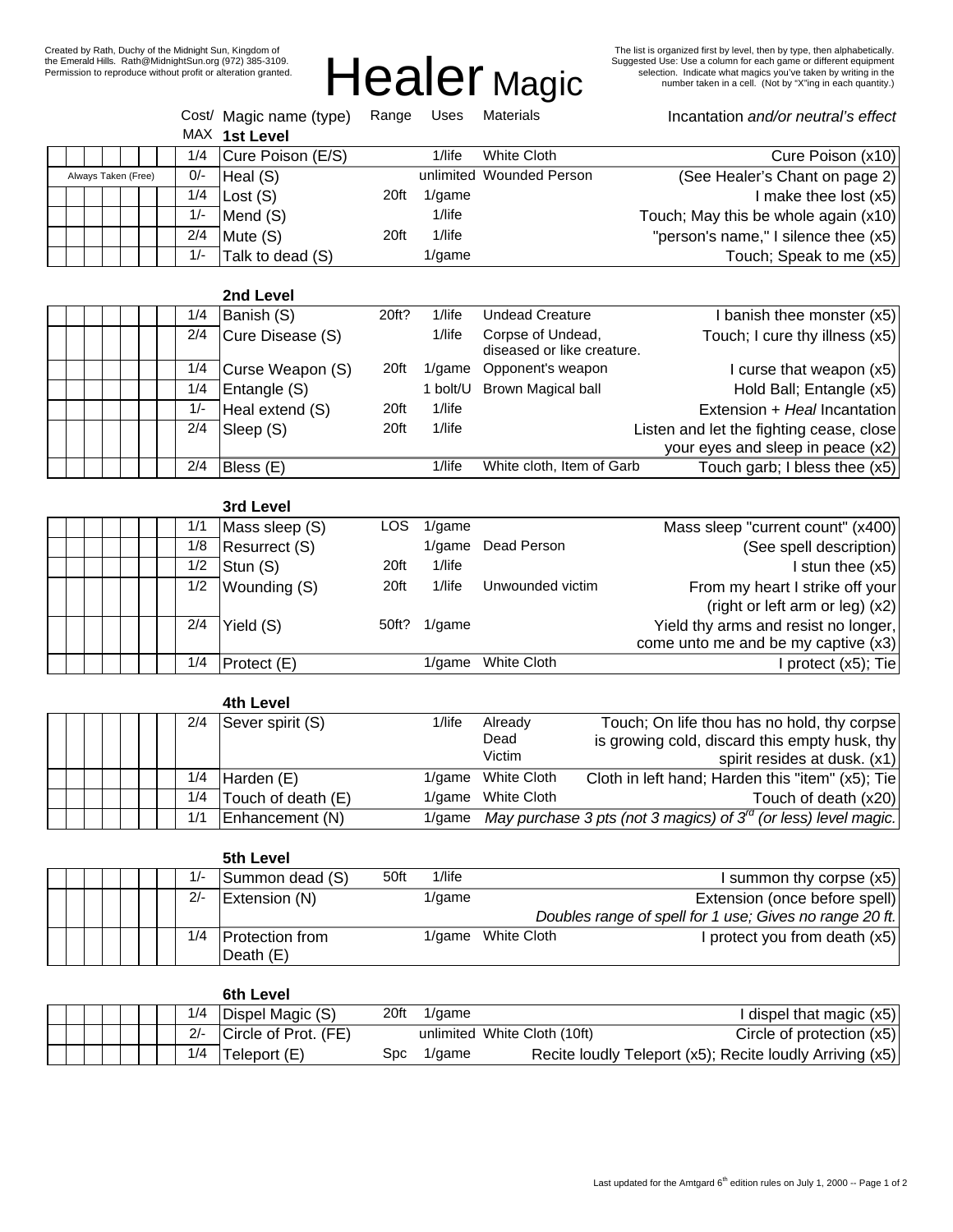# Healer Magic Cost/ Magic name (type) Range Uses

The list is organized first by level, then by type, then alphabetically.<br>Suggested Use: Use a column for each game or different equipment<br>selection. Indicate what magics you've taken by writing in the<br>number taken in a cel

| Incantation and/or neutral's effect |  |  |  |  |
|-------------------------------------|--|--|--|--|
|-------------------------------------|--|--|--|--|

|  |  |                     |       | MAX 1st Level     |      |           |                          |                                        |
|--|--|---------------------|-------|-------------------|------|-----------|--------------------------|----------------------------------------|
|  |  |                     | 1/4   | Cure Poison (E/S) |      | 1/life    | White Cloth              | Cure Poison (x10)                      |
|  |  | Always Taken (Free) | $0/-$ | Heal (S)          |      |           | unlimited Wounded Person | (See Healer's Chant on page 2)         |
|  |  |                     | 1/4   | $ $ Lost $(S)$    | 20ft | $1$ /game |                          | I make thee lost $(x5)$                |
|  |  |                     | $1/-$ | Mend (S)          |      |           |                          | Touch; May this be whole again (x10)   |
|  |  |                     | 2/4   | Mute (S)          | 20ft | $1$ /life |                          | "person's name," I silence thee $(x5)$ |
|  |  |                     | $1/-$ | Talk to dead (S)  |      | $1$ /game |                          | Touch; Speak to me (x5)                |

|  |  |       | 2nd Level          |       |           |                                                 |                                                                               |
|--|--|-------|--------------------|-------|-----------|-------------------------------------------------|-------------------------------------------------------------------------------|
|  |  | 1/4   | Banish (S)         | 20ft? | 1/life    | <b>Undead Creature</b>                          | banish thee monster (x5)                                                      |
|  |  | 2/4   | Cure Disease (S)   |       | 1/life    | Corpse of Undead,<br>diseased or like creature. | Touch; I cure thy illness (x5)                                                |
|  |  | 1/4   | Curse Weapon (S)   | 20ft  |           | 1/game Opponent's weapon                        | curse that weapon $(x5)$                                                      |
|  |  |       | $1/4$ Entangle (S) |       |           | 1 bolt/U Brown Magical ball                     | Hold Ball; Entangle (x5)                                                      |
|  |  | $1/-$ | Heal extend (S)    | 20ft  | $1$ /life |                                                 | Extension + Heal Incantation                                                  |
|  |  | 2/4   | Sleep (S)          | 20ft  | $1$ /life |                                                 | Listen and let the fighting cease, close<br>your eyes and sleep in peace (x2) |
|  |  | 2/4   | Bless (E)          |       | $1$ /life | White cloth, Item of Garb                       | Touch garb; I bless thee (x5)                                                 |

|  |  |     | 3rd Level            |       |           |                    |                                       |
|--|--|-----|----------------------|-------|-----------|--------------------|---------------------------------------|
|  |  | 1/1 | Mass sleep (S)       | LOS   | $1$ /game |                    | Mass sleep "current count" (x400)     |
|  |  | 1/8 | Resurrect (S)        |       |           | 1/game Dead Person | (See spell description)               |
|  |  |     | $1/2$ Stun (S)       | 20ft  | 1/life    |                    | I stun thee $(x5)$                    |
|  |  |     | $1/2$ Wounding $(S)$ | 20ft  | 1/life    | Unwounded victim   | From my heart I strike off your       |
|  |  |     |                      |       |           |                    | (right or left arm or leg) $(x2)$     |
|  |  | 2/4 | Yield (S)            | 50ft? | 1/game    |                    | Yield thy arms and resist no longer,  |
|  |  |     |                      |       |           |                    | come unto me and be my captive $(x3)$ |
|  |  | 1/4 | Protect (E)          |       |           | 1/game White Cloth | protect (x5); Tie                     |

|  |     | 4th Level            |        |                    |                                                                                       |
|--|-----|----------------------|--------|--------------------|---------------------------------------------------------------------------------------|
|  | 2/4 | Sever spirit (S)     | 1/life | Already            | Touch; On life thou has no hold, thy corpse                                           |
|  |     |                      |        | Dead               | is growing cold, discard this empty husk, thy                                         |
|  |     |                      |        | Victim             | spirit resides at dusk. (x1)                                                          |
|  | 1/4 | Harden (E)           |        | 1/game White Cloth | Cloth in left hand; Harden this "item" (x5); Tie                                      |
|  | 1/4 | Touch of death $(E)$ |        | 1/game White Cloth | Touch of death (x20)                                                                  |
|  | 1/1 | Enhancement (N)      |        |                    | 1/game May purchase 3 pts (not 3 magics) of $3^{\prime\prime}$ (or less) level magic. |

|  |  |  |       | 5th Level                             |      |           |                    |                                                         |
|--|--|--|-------|---------------------------------------|------|-----------|--------------------|---------------------------------------------------------|
|  |  |  | $1/-$ | Summon dead (S)                       | 50ft | $1$ /life |                    | summon thy corpse (x5)                                  |
|  |  |  | $2/-$ | Extension (N)                         |      | 1/game    |                    | Extension (once before spell)                           |
|  |  |  |       |                                       |      |           |                    | Doubles range of spell for 1 use; Gives no range 20 ft. |
|  |  |  | 1/4   | <b>Protection from</b><br>Death $(E)$ |      |           | 1/game White Cloth | I protect you from death (x5)                           |

|  |  |  |       | 6th Level            |      |        |                              |                                                          |
|--|--|--|-------|----------------------|------|--------|------------------------------|----------------------------------------------------------|
|  |  |  | 1/4   | Dispel Magic (S)     | 20ft | 1/game |                              | I dispel that magic (x5)                                 |
|  |  |  | $2/-$ | Circle of Prot. (FE) |      |        | unlimited White Cloth (10ft) | Circle of protection (x5)                                |
|  |  |  | 1/4   | Teleport (E)         | Spc  | 1/game |                              | Recite loudly Teleport (x5); Recite loudly Arriving (x5) |